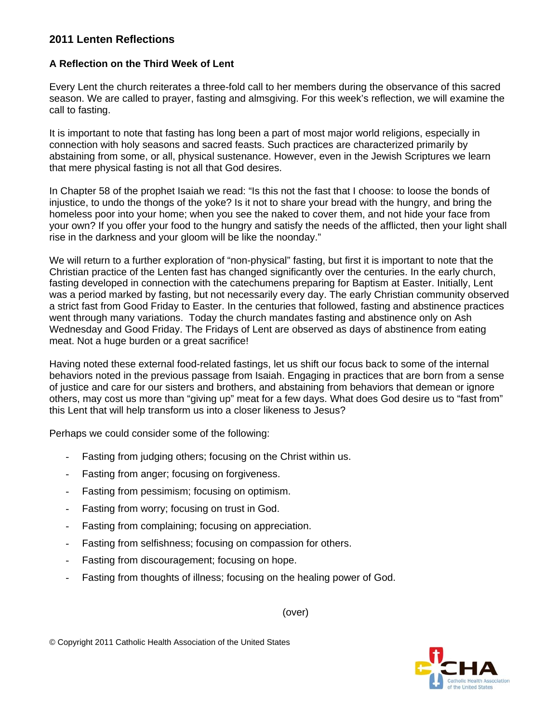## **2011 Lenten Reflections**

## **A Reflection on the Third Week of Lent**

Every Lent the church reiterates a three-fold call to her members during the observance of this sacred season. We are called to prayer, fasting and almsgiving. For this week's reflection, we will examine the call to fasting.

It is important to note that fasting has long been a part of most major world religions, especially in connection with holy seasons and sacred feasts. Such practices are characterized primarily by abstaining from some, or all, physical sustenance. However, even in the Jewish Scriptures we learn that mere physical fasting is not all that God desires.

In Chapter 58 of the prophet Isaiah we read: "Is this not the fast that I choose: to loose the bonds of injustice, to undo the thongs of the yoke? Is it not to share your bread with the hungry, and bring the homeless poor into your home; when you see the naked to cover them, and not hide your face from your own? If you offer your food to the hungry and satisfy the needs of the afflicted, then your light shall rise in the darkness and your gloom will be like the noonday."

We will return to a further exploration of "non-physical" fasting, but first it is important to note that the Christian practice of the Lenten fast has changed significantly over the centuries. In the early church, fasting developed in connection with the catechumens preparing for Baptism at Easter. Initially, Lent was a period marked by fasting, but not necessarily every day. The early Christian community observed a strict fast from Good Friday to Easter. In the centuries that followed, fasting and abstinence practices went through many variations. Today the church mandates fasting and abstinence only on Ash Wednesday and Good Friday. The Fridays of Lent are observed as days of abstinence from eating meat. Not a huge burden or a great sacrifice!

Having noted these external food-related fastings, let us shift our focus back to some of the internal behaviors noted in the previous passage from Isaiah. Engaging in practices that are born from a sense of justice and care for our sisters and brothers, and abstaining from behaviors that demean or ignore others, may cost us more than "giving up" meat for a few days. What does God desire us to "fast from" this Lent that will help transform us into a closer likeness to Jesus?

Perhaps we could consider some of the following:

- Fasting from judging others; focusing on the Christ within us.
- Fasting from anger; focusing on forgiveness.
- Fasting from pessimism; focusing on optimism.
- Fasting from worry; focusing on trust in God.
- Fasting from complaining; focusing on appreciation.
- Fasting from selfishness; focusing on compassion for others.
- Fasting from discouragement; focusing on hope.
- Fasting from thoughts of illness; focusing on the healing power of God.

(over)

© Copyright 2011 Catholic Health Association of the United States